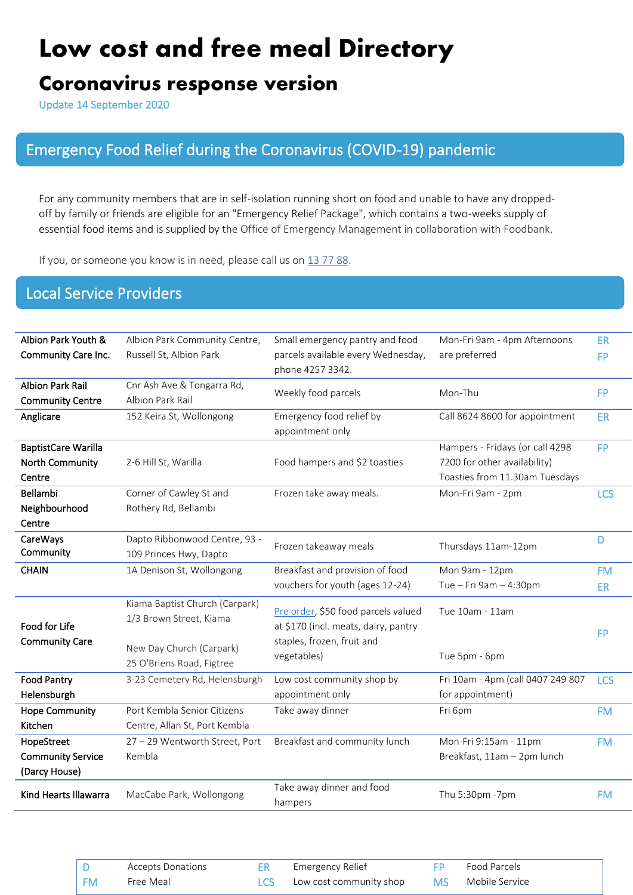# **Low cost and free meal Directory**

# **Coronavirus response version**

Update 14 September 2020

## Emergency Food Relief during the Coronavirus (COVID-19) pandemic

For any community members that are in self-isolation running short on food and unable to have any droppedoff by family or friends are eligible for an "Emergency Relief Package", which contains a two-weeks supply of essential food items and is supplied by the Office of Emergency Management in collaboration with Foodbank.

If you, or someone you know is in need, please call us on 1377 88.

### Local Service Providers

| Albion Park Youth &        | Albion Park Community Centre,  | Small emergency pantry and food                                             | Mon-Fri 9am - 4pm Afternoons      | <b>ER</b>  |
|----------------------------|--------------------------------|-----------------------------------------------------------------------------|-----------------------------------|------------|
| Community Care Inc.        | Russell St, Albion Park        | parcels available every Wednesday,                                          | are preferred                     | <b>FP</b>  |
|                            |                                | phone 4257 3342.                                                            |                                   |            |
| <b>Albion Park Rail</b>    | Cnr Ash Ave & Tongarra Rd,     |                                                                             |                                   | <b>FP</b>  |
| <b>Community Centre</b>    | Albion Park Rail               | Weekly food parcels                                                         | Mon-Thu                           |            |
| Anglicare                  | 152 Keira St, Wollongong       | Emergency food relief by                                                    | Call 8624 8600 for appointment    | <b>ER</b>  |
|                            |                                | appointment only                                                            |                                   |            |
| <b>BaptistCare Warilla</b> |                                |                                                                             | Hampers - Fridays (or call 4298   | <b>FP</b>  |
| North Community            | 2-6 Hill St, Warilla           | Food hampers and \$2 toasties                                               | 7200 for other availability)      |            |
| Centre                     |                                |                                                                             | Toasties from 11.30am Tuesdays    |            |
| Bellambi                   | Corner of Cawley St and        | Frozen take away meals.                                                     | Mon-Fri 9am - 2pm                 | <b>LCS</b> |
| Neighbourhood              | Rothery Rd, Bellambi           |                                                                             |                                   |            |
| Centre                     |                                |                                                                             |                                   |            |
| <b>CareWays</b>            | Dapto Ribbonwood Centre, 93 -  |                                                                             |                                   | D          |
| Community                  | 109 Princes Hwy, Dapto         | Frozen takeaway meals                                                       | Thursdays 11am-12pm               |            |
| <b>CHAIN</b>               | 1A Denison St, Wollongong      | Breakfast and provision of food                                             | Mon 9am - 12pm                    | <b>FM</b>  |
|                            |                                | vouchers for youth (ages 12-24)                                             | Tue - Fri 9am - 4:30pm            | <b>ER</b>  |
|                            | Kiama Baptist Church (Carpark) |                                                                             | Tue 10am - 11am                   |            |
|                            | 1/3 Brown Street, Kiama        | Pre order, \$50 food parcels valued<br>at \$170 (incl. meats, dairy, pantry |                                   |            |
| Food for Life              |                                | staples, frozen, fruit and                                                  |                                   | <b>FP</b>  |
| <b>Community Care</b>      | New Day Church (Carpark)       |                                                                             |                                   |            |
|                            | 25 O'Briens Road, Figtree      | vegetables)                                                                 | Tue 5pm - 6pm                     |            |
| <b>Food Pantry</b>         | 3-23 Cemetery Rd, Helensburgh  | Low cost community shop by                                                  | Fri 10am - 4pm (call 0407 249 807 | <b>LCS</b> |
| Helensburgh                |                                | appointment only                                                            | for appointment)                  |            |
| <b>Hope Community</b>      | Port Kembla Senior Citizens    | Take away dinner                                                            | Fri 6pm                           | <b>FM</b>  |
| Kitchen                    | Centre, Allan St, Port Kembla  |                                                                             |                                   |            |
| HopeStreet                 | 27 - 29 Wentworth Street, Port | Breakfast and community lunch                                               | Mon-Fri 9:15am - 11pm             | <b>FM</b>  |
| <b>Community Service</b>   | Kembla                         |                                                                             | Breakfast, 11am - 2pm lunch       |            |
| (Darcy House)              |                                |                                                                             |                                   |            |
| Kind Hearts Illawarra      | MacCabe Park, Wollongong       | Take away dinner and food                                                   | Thu 5:30pm -7pm                   | <b>FM</b>  |
|                            |                                | hampers                                                                     |                                   |            |

D Accepts Donations ER Emergency Relief FP FM Free Meal **LCS** Low cost community shop MS Mobile Service Accepts Donations Free Meal Food Parcels D ER I